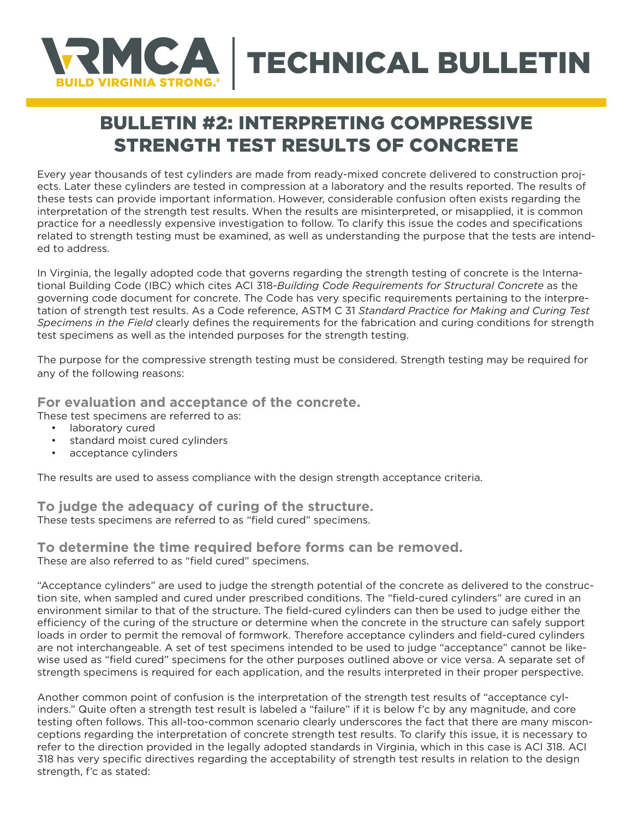

## BULLETIN #2: INTERPRETING COMPRESSIVE STRENGTH TEST RESULTS OF CONCRETE

Every year thousands of test cylinders are made from ready-mixed concrete delivered to construction projects. Later these cylinders are tested in compression at a laboratory and the results reported. The results of these tests can provide important information. However, considerable confusion often exists regarding the interpretation of the strength test results. When the results are misinterpreted, or misapplied, it is common practice for a needlessly expensive investigation to follow. To clarify this issue the codes and specifications related to strength testing must be examined, as well as understanding the purpose that the tests are intended to address.

In Virginia, the legally adopted code that governs regarding the strength testing of concrete is the International Building Code (IBC) which cites ACI 318-*Building Code Requirements for Structural Concrete* as the governing code document for concrete. The Code has very specific requirements pertaining to the interpretation of strength test results. As a Code reference, ASTM C 31 *Standard Practice for Making and Curing Test Specimens in the Field* clearly defines the requirements for the fabrication and curing conditions for strength test specimens as well as the intended purposes for the strength testing.

The purpose for the compressive strength testing must be considered. Strength testing may be required for any of the following reasons:

## **For evaluation and acceptance of the concrete.**

These test specimens are referred to as:

- laboratory cured
- standard moist cured cylinders
- acceptance cylinders

The results are used to assess compliance with the design strength acceptance criteria.

**To judge the adequacy of curing of the structure.**  These tests specimens are referred to as "field cured" specimens.

## **To determine the time required before forms can be removed.** These are also referred to as "field cured" specimens.

"Acceptance cylinders" are used to judge the strength potential of the concrete as delivered to the construction site, when sampled and cured under prescribed conditions. The "field-cured cylinders" are cured in an environment similar to that of the structure. The field-cured cylinders can then be used to judge either the efficiency of the curing of the structure or determine when the concrete in the structure can safely support loads in order to permit the removal of formwork. Therefore acceptance cylinders and field-cured cylinders are not interchangeable. A set of test specimens intended to be used to judge "acceptance" cannot be likewise used as "field cured" specimens for the other purposes outlined above or vice versa. A separate set of strength specimens is required for each application, and the results interpreted in their proper perspective.

Another common point of confusion is the interpretation of the strength test results of "acceptance cylinders." Quite often a strength test result is labeled a "failure" if it is below f'c by any magnitude, and core testing often follows. This all-too-common scenario clearly underscores the fact that there are many misconceptions regarding the interpretation of concrete strength test results. To clarify this issue, it is necessary to refer to the direction provided in the legally adopted standards in Virginia, which in this case is ACI 318. ACI 318 has very specific directives regarding the acceptability of strength test results in relation to the design strength, f'c as stated: